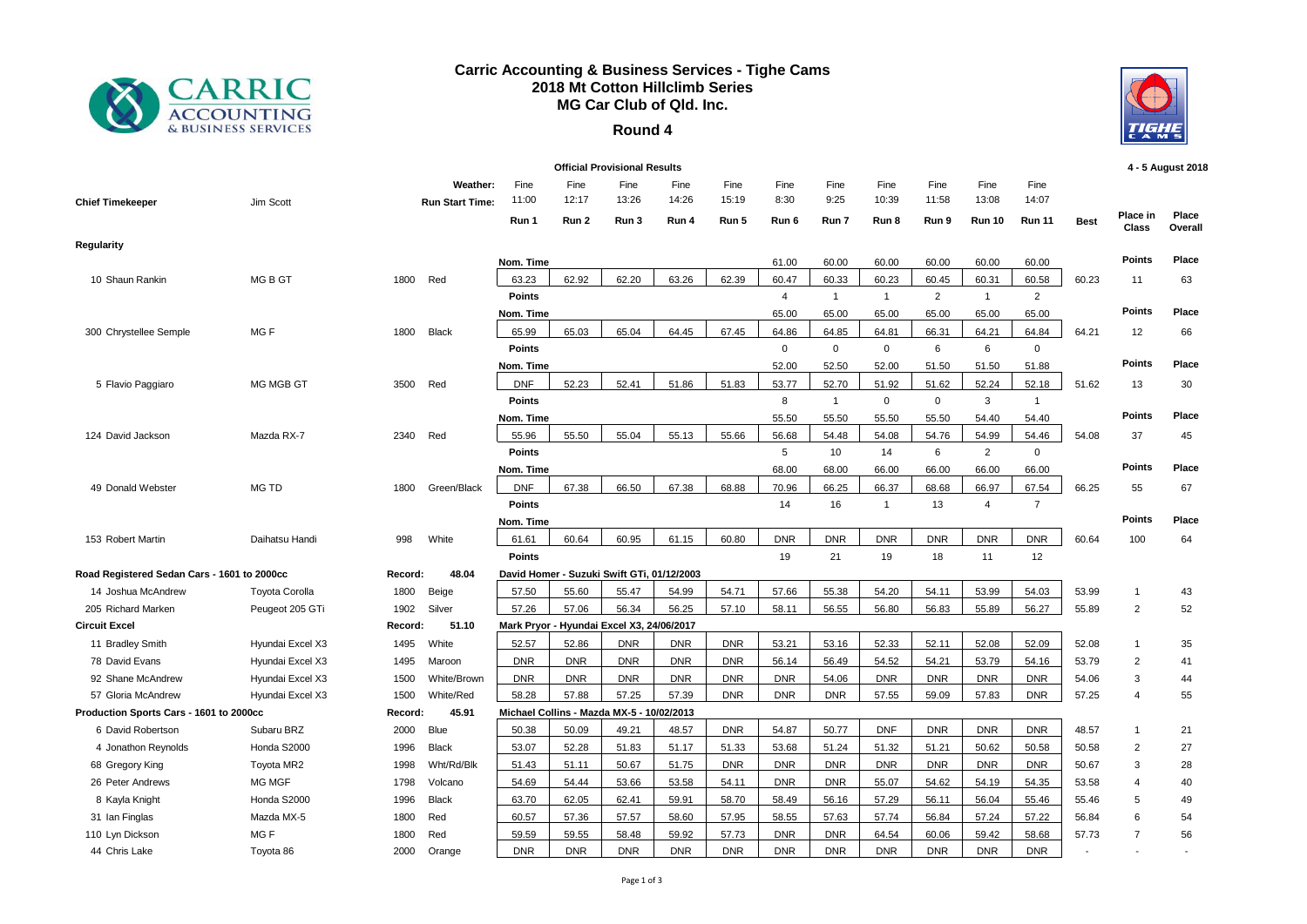

## **Carric Accounting & Business Services - Tighe Cams 2018 Mt Cotton Hillclimb Series MG Car Club of Qld. Inc.**

## **Round 4**



|                                             |                       |         |                        |               |            | <b>Official Provisional Results</b>        |            |            |            |                |                |                |                |                |             |                   | 4 - 5 August 2018 |
|---------------------------------------------|-----------------------|---------|------------------------|---------------|------------|--------------------------------------------|------------|------------|------------|----------------|----------------|----------------|----------------|----------------|-------------|-------------------|-------------------|
|                                             |                       |         | Weather:               | Fine          | Fine       | Fine                                       | Fine       | Fine       | Fine       | Fine           | Fine           | Fine           | Fine           | Fine           |             |                   |                   |
| <b>Chief Timekeeper</b>                     | Jim Scott             |         | <b>Run Start Time:</b> | 11:00         | 12:17      | 13:26                                      | 14:26      | 15:19      | 8:30       | 9:25           | 10:39          | 11:58          | 13:08          | 14:07          |             |                   |                   |
|                                             |                       |         |                        | Run 1         | Run 2      | Run 3                                      | Run 4      | Run 5      | Run 6      | Run 7          | Run 8          | Run 9          | <b>Run 10</b>  | <b>Run 11</b>  | <b>Best</b> | Place in<br>Class | Place<br>Overall  |
| Regularity                                  |                       |         |                        |               |            |                                            |            |            |            |                |                |                |                |                |             |                   |                   |
|                                             |                       |         |                        | Nom. Time     |            |                                            |            |            | 61.00      | 60.00          | 60.00          | 60.00          | 60.00          | 60.00          |             | <b>Points</b>     | Place             |
| 10 Shaun Rankin                             | MG B GT               | 1800    | Red                    | 63.23         | 62.92      | 62.20                                      | 63.26      | 62.39      | 60.47      | 60.33          | 60.23          | 60.45          | 60.31          | 60.58          | 60.23       | 11                | 63                |
|                                             |                       |         |                        | Points        |            |                                            |            |            | 4          | $\overline{1}$ | $\mathbf{1}$   | $\overline{2}$ | $\mathbf{1}$   | 2              |             |                   |                   |
|                                             |                       |         |                        | Nom. Time     |            |                                            |            |            | 65.00      | 65.00          | 65.00          | 65.00          | 65.00          | 65.00          |             | Points            | Place             |
| 300 Chrystellee Semple                      | MG F                  | 1800    | <b>Black</b>           | 65.99         | 65.03      | 65.04                                      | 64.45      | 67.45      | 64.86      | 64.85          | 64.81          | 66.31          | 64.21          | 64.84          | 64.21       | 12                | 66                |
|                                             |                       |         |                        | Points        |            |                                            |            |            | 0          | $\mathbf 0$    | $\mathbf 0$    | 6              | 6              | 0              |             |                   |                   |
|                                             |                       |         |                        | Nom. Time     |            |                                            |            |            | 52.00      | 52.50          | 52.00          | 51.50          | 51.50          | 51.88          |             | Points            | Place             |
| 5 Flavio Paggiaro                           | MG MGB GT             | 3500    | Red                    | <b>DNF</b>    | 52.23      | 52.41                                      | 51.86      | 51.83      | 53.77      | 52.70          | 51.92          | 51.62          | 52.24          | 52.18          | 51.62       | 13                | 30                |
|                                             |                       |         |                        | <b>Points</b> |            |                                            |            |            | 8          | $\mathbf{1}$   | $\mathbf 0$    | $\mathbf 0$    | 3              | $\overline{1}$ |             |                   |                   |
|                                             |                       |         |                        | Nom. Time     |            |                                            |            |            | 55.50      | 55.50          | 55.50          | 55.50          | 54.40          | 54.40          |             | Points            | Place             |
| 124 David Jackson                           | Mazda RX-7            | 2340    | Red                    | 55.96         | 55.50      | 55.04                                      | 55.13      | 55.66      | 56.68      | 54.48          | 54.08          | 54.76          | 54.99          | 54.46          | 54.08       | 37                | 45                |
|                                             |                       |         |                        | <b>Points</b> |            |                                            |            |            | 5          | 10             | 14             | 6              | $\overline{2}$ | $\mathbf 0$    |             |                   |                   |
|                                             |                       |         |                        | Nom. Time     |            |                                            |            |            | 68.00      | 68.00          | 66.00          | 66.00          | 66.00          | 66.00          |             | <b>Points</b>     | Place             |
| 49 Donald Webster                           | <b>MG TD</b>          | 1800    | Green/Black            | <b>DNF</b>    | 67.38      | 66.50                                      | 67.38      | 68.88      | 70.96      | 66.25          | 66.37          | 68.68          | 66.97          | 67.54          | 66.25       | 55                | 67                |
|                                             |                       |         |                        | <b>Points</b> |            |                                            |            |            | 14         | 16             | $\overline{1}$ | 13             | $\overline{4}$ | $\overline{7}$ |             |                   |                   |
|                                             |                       |         |                        | Nom. Time     |            |                                            |            |            |            |                |                |                |                |                |             | Points            | Place             |
| 153 Robert Martin                           | Daihatsu Handi        | 998     | White                  | 61.61         | 60.64      | 60.95                                      | 61.15      | 60.80      | <b>DNR</b> | <b>DNR</b>     | <b>DNR</b>     | <b>DNR</b>     | <b>DNR</b>     | <b>DNR</b>     | 60.64       | 100               | 64                |
|                                             |                       |         |                        | <b>Points</b> |            |                                            |            |            | 19         | 21             | 19             | 18             | 11             | 12             |             |                   |                   |
| Road Registered Sedan Cars - 1601 to 2000cc |                       | Record: | 48.04                  |               |            | David Homer - Suzuki Swift GTi, 01/12/2003 |            |            |            |                |                |                |                |                |             |                   |                   |
| 14 Joshua McAndrew                          | <b>Toyota Corolla</b> | 1800    | Beige                  | 57.50         | 55.60      | 55.47                                      | 54.99      | 54.71      | 57.66      | 55.38          | 54.20          | 54.11          | 53.99          | 54.03          | 53.99       | $\mathbf{1}$      | 43                |
| 205 Richard Marken                          | Peugeot 205 GTi       | 1902    | Silver                 | 57.26         | 57.06      | 56.34                                      | 56.25      | 57.10      | 58.11      | 56.55          | 56.80          | 56.83          | 55.89          | 56.27          | 55.89       | $\overline{2}$    | 52                |
| <b>Circuit Excel</b>                        |                       | Record: | 51.10                  |               |            | Mark Pryor - Hyundai Excel X3, 24/06/2017  |            |            |            |                |                |                |                |                |             |                   |                   |
| 11 Bradley Smith                            | Hyundai Excel X3      | 1495    | White                  | 52.57         | 52.86      | <b>DNR</b>                                 | <b>DNR</b> | <b>DNR</b> | 53.21      | 53.16          | 52.33          | 52.11          | 52.08          | 52.09          | 52.08       | $\overline{1}$    | 35                |
| 78 David Evans                              | Hyundai Excel X3      | 1495    | Maroon                 | <b>DNR</b>    | <b>DNR</b> | <b>DNR</b>                                 | <b>DNR</b> | <b>DNR</b> | 56.14      | 56.49          | 54.52          | 54.21          | 53.79          | 54.16          | 53.79       | $\overline{2}$    | 41                |
| 92 Shane McAndrew                           | Hyundai Excel X3      | 1500    | White/Brown            | <b>DNR</b>    | <b>DNR</b> | <b>DNR</b>                                 | <b>DNR</b> | <b>DNR</b> | <b>DNR</b> | 54.06          | <b>DNR</b>     | <b>DNR</b>     | <b>DNR</b>     | <b>DNR</b>     | 54.06       | 3                 | 44                |
| 57 Gloria McAndrew                          | Hyundai Excel X3      | 1500    | White/Red              | 58.28         | 57.88      | 57.25                                      | 57.39      | <b>DNR</b> | <b>DNR</b> | <b>DNR</b>     | 57.55          | 59.09          | 57.83          | <b>DNR</b>     | 57.25       | $\overline{4}$    | 55                |
| Production Sports Cars - 1601 to 2000cc     |                       | Record: | 45.91                  |               |            | Michael Collins - Mazda MX-5 - 10/02/2013  |            |            |            |                |                |                |                |                |             |                   |                   |
| 6 David Robertson                           | Subaru BRZ            | 2000    | Blue                   | 50.38         | 50.09      | 49.21                                      | 48.57      | <b>DNR</b> | 54.87      | 50.77          | <b>DNF</b>     | <b>DNR</b>     | <b>DNR</b>     | <b>DNR</b>     | 48.57       | $\mathbf{1}$      | 21                |
| 4 Jonathon Reynolds                         | Honda S2000           | 1996    | <b>Black</b>           | 53.07         | 52.28      | 51.83                                      | 51.17      | 51.33      | 53.68      | 51.24          | 51.32          | 51.21          | 50.62          | 50.58          | 50.58       | $\overline{2}$    | 27                |
| 68 Gregory King                             | Toyota MR2            | 1998    | Wht/Rd/Blk             | 51.43         | 51.11      | 50.67                                      | 51.75      | <b>DNR</b> | <b>DNR</b> | <b>DNR</b>     | <b>DNR</b>     | <b>DNR</b>     | <b>DNR</b>     | <b>DNR</b>     | 50.67       | 3                 | 28                |
| 26 Peter Andrews                            | MG MGF                | 1798    | Volcano                | 54.69         | 54.44      | 53.66                                      | 53.58      | 54.11      | <b>DNR</b> | <b>DNR</b>     | 55.07          | 54.62          | 54.19          | 54.35          | 53.58       | 4                 | 40                |
| 8 Kayla Knight                              | Honda S2000           | 1996    | <b>Black</b>           | 63.70         | 62.05      | 62.41                                      | 59.91      | 58.70      | 58.49      | 56.16          | 57.29          | 56.11          | 56.04          | 55.46          | 55.46       | 5                 | 49                |
| 31 Ian Finglas                              | Mazda MX-5            | 1800    | Red                    | 60.57         | 57.36      | 57.57                                      | 58.60      | 57.95      | 58.55      | 57.63          | 57.74          | 56.84          | 57.24          | 57.22          | 56.84       | 6                 | 54                |
| 110 Lyn Dickson                             | MG <sub>F</sub>       | 1800    | Red                    | 59.59         | 59.55      | 58.48                                      | 59.92      | 57.73      | <b>DNR</b> | <b>DNR</b>     | 64.54          | 60.06          | 59.42          | 58.68          | 57.73       | $\overline{7}$    | 56                |
| 44 Chris Lake                               | Toyota 86             | 2000    | Orange                 | <b>DNR</b>    | <b>DNR</b> | <b>DNR</b>                                 | <b>DNR</b> | <b>DNR</b> | <b>DNR</b> | <b>DNR</b>     | <b>DNR</b>     | <b>DNR</b>     | <b>DNR</b>     | <b>DNR</b>     |             |                   |                   |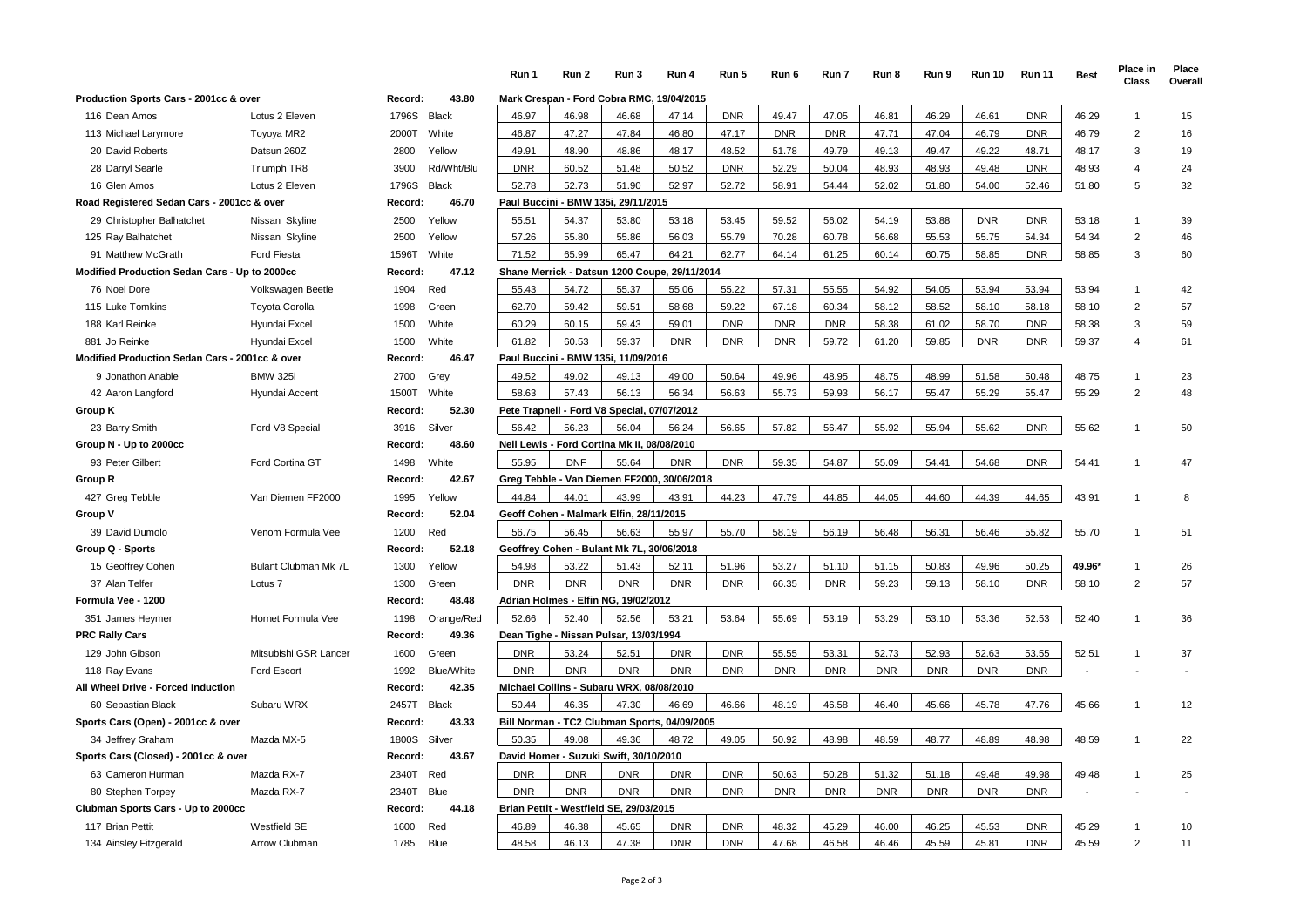|                                                |                       |         |            | Run 1      | Run 2      | Run 3                                       | Run 4                                         | Run 5      | Run 6      | Run 7      | Run 8      | Run 9      | <b>Run 10</b> | <b>Run 11</b> | <b>Best</b> | Place in<br>Class | Place<br>Overall |
|------------------------------------------------|-----------------------|---------|------------|------------|------------|---------------------------------------------|-----------------------------------------------|------------|------------|------------|------------|------------|---------------|---------------|-------------|-------------------|------------------|
| Production Sports Cars - 2001cc & over         |                       | Record: | 43.80      |            |            | Mark Crespan - Ford Cobra RMC,              | 19/04/2015                                    |            |            |            |            |            |               |               |             |                   |                  |
| 116 Dean Amos                                  | Lotus 2 Eleven        | 1796S   | Black      | 46.97      | 46.98      | 46.68                                       | 47.14                                         | <b>DNR</b> | 49.47      | 47.05      | 46.81      | 46.29      | 46.61         | <b>DNR</b>    | 46.29       | -1                | 15               |
| 113 Michael Larymore                           | Toyoya MR2            | 2000T   | White      | 46.87      | 47.27      | 47.84                                       | 46.80                                         | 47.17      | <b>DNR</b> | <b>DNR</b> | 47.71      | 47.04      | 46.79         | <b>DNR</b>    | 46.79       | $\overline{2}$    | 16               |
| 20 David Roberts                               | Datsun 260Z           | 2800    | Yellow     | 49.91      | 48.90      | 48.86                                       | 48.17                                         | 48.52      | 51.78      | 49.79      | 49.13      | 49.47      | 49.22         | 48.71         | 48.17       | 3                 | 19               |
| 28 Darryl Searle                               | Triumph TR8           | 3900    | Rd/Wht/Blu | <b>DNR</b> | 60.52      | 51.48                                       | 50.52                                         | <b>DNR</b> | 52.29      | 50.04      | 48.93      | 48.93      | 49.48         | <b>DNR</b>    | 48.93       | $\overline{4}$    | 24               |
| 16 Glen Amos                                   | Lotus 2 Eleven        | 1796S   | Black      | 52.78      | 52.73      | 51.90                                       | 52.97                                         | 52.72      | 58.91      | 54.44      | 52.02      | 51.80      | 54.00         | 52.46         | 51.80       | 5                 | 32               |
| Road Registered Sedan Cars - 2001cc & over     |                       | Record: | 46.70      |            |            | Paul Buccini - BMW 135i, 29/11/2015         |                                               |            |            |            |            |            |               |               |             |                   |                  |
| 29 Christopher Balhatchet                      | Nissan Skyline        | 2500    | Yellow     | 55.51      | 54.37      | 53.80                                       | 53.18                                         | 53.45      | 59.52      | 56.02      | 54.19      | 53.88      | <b>DNR</b>    | <b>DNR</b>    | 53.18       | -1                | 39               |
| 125 Ray Balhatchet                             | Nissan Skyline        | 2500    | Yellow     | 57.26      | 55.80      | 55.86                                       | 56.03                                         | 55.79      | 70.28      | 60.78      | 56.68      | 55.53      | 55.75         | 54.34         | 54.34       | $\overline{2}$    | 46               |
| 91 Matthew McGrath                             | Ford Fiesta           | 1596T   | White      | 71.52      | 65.99      | 65.47                                       | 64.21                                         | 62.77      | 64.14      | 61.25      | 60.14      | 60.75      | 58.85         | <b>DNR</b>    | 58.85       | 3                 | 60               |
| Modified Production Sedan Cars - Up to 2000cc  |                       | Record: | 47.12      |            |            |                                             | Shane Merrick - Datsun 1200 Coupe, 29/11/2014 |            |            |            |            |            |               |               |             |                   |                  |
| 76 Noel Dore                                   | Volkswagen Beetle     | 1904    | Red        | 55.43      | 54.72      | 55.37                                       | 55.06                                         | 55.22      | 57.31      | 55.55      | 54.92      | 54.05      | 53.94         | 53.94         | 53.94       | 1                 | 42               |
| 115 Luke Tomkins                               | <b>Toyota Corolla</b> | 1998    | Green      | 62.70      | 59.42      | 59.51                                       | 58.68                                         | 59.22      | 67.18      | 60.34      | 58.12      | 58.52      | 58.10         | 58.18         | 58.10       | $\overline{2}$    | 57               |
| 188 Karl Reinke                                | Hyundai Excel         | 1500    | White      | 60.29      | 60.15      | 59.43                                       | 59.01                                         | <b>DNR</b> | <b>DNR</b> | <b>DNR</b> | 58.38      | 61.02      | 58.70         | <b>DNR</b>    | 58.38       | 3                 | 59               |
| 881 Jo Reinke                                  | Hyundai Excel         | 1500    | White      | 61.82      | 60.53      | 59.37                                       | <b>DNR</b>                                    | <b>DNR</b> | <b>DNR</b> | 59.72      | 61.20      | 59.85      | <b>DNR</b>    | <b>DNR</b>    | 59.37       | $\overline{4}$    | 61               |
| Modified Production Sedan Cars - 2001cc & over |                       | Record: | 46.47      |            |            | Paul Buccini - BMW 135i, 11/09/2016         |                                               |            |            |            |            |            |               |               |             |                   |                  |
| 9 Jonathon Anable                              | <b>BMW 325i</b>       | 2700    | Grey       | 49.52      | 49.02      | 49.13                                       | 49.00                                         | 50.64      | 49.96      | 48.95      | 48.75      | 48.99      | 51.58         | 50.48         | 48.75       | 1                 | 23               |
| 42 Aaron Langford                              | Hyundai Accent        | 1500T   | White      | 58.63      | 57.43      | 56.13                                       | 56.34                                         | 56.63      | 55.73      | 59.93      | 56.17      | 55.47      | 55.29         | 55.47         | 55.29       | $\overline{2}$    | 48               |
| Group K                                        |                       | Record: | 52.30      |            |            | Pete Trapnell - Ford V8 Special, 07/07/2012 |                                               |            |            |            |            |            |               |               |             |                   |                  |
| 23 Barry Smith                                 | Ford V8 Special       | 3916    | Silver     | 56.42      | 56.23      | 56.04                                       | 56.24                                         | 56.65      | 57.82      | 56.47      | 55.92      | 55.94      | 55.62         | <b>DNR</b>    | 55.62       | 1                 | 50               |
| Group N - Up to 2000cc                         |                       | Record: | 48.60      |            |            | Neil Lewis - Ford Cortina Mk II, 08/08/2010 |                                               |            |            |            |            |            |               |               |             |                   |                  |
| 93 Peter Gilbert                               | Ford Cortina GT       | 1498    | White      | 55.95      | <b>DNF</b> | 55.64                                       | <b>DNR</b>                                    | <b>DNR</b> | 59.35      | 54.87      | 55.09      | 54.41      | 54.68         | <b>DNR</b>    | 54.41       | 1                 | 47               |
| Group R                                        |                       | Record: | 42.67      |            |            |                                             | Greg Tebble - Van Diemen FF2000, 30/06/2018   |            |            |            |            |            |               |               |             |                   |                  |
| 427 Greg Tebble                                | Van Diemen FF2000     | 1995    | Yellow     | 44.84      | 44.01      | 43.99                                       | 43.91                                         | 44.23      | 47.79      | 44.85      | 44.05      | 44.60      | 44.39         | 44.65         | 43.91       | -1                | 8                |
| Group V                                        |                       | Record: | 52.04      |            |            | Geoff Cohen - Malmark Elfin, 28/11/2015     |                                               |            |            |            |            |            |               |               |             |                   |                  |
| 39 David Dumolo                                | Venom Formula Vee     | 1200    | Red        | 56.75      | 56.45      | 56.63                                       | 55.97                                         | 55.70      | 58.19      | 56.19      | 56.48      | 56.31      | 56.46         | 55.82         | 55.70       | 1                 | 51               |
| Group Q - Sports                               |                       | Record: | 52.18      |            |            | Geoffrey Cohen - Bulant Mk 7L, 30/06/2018   |                                               |            |            |            |            |            |               |               |             |                   |                  |
| 15 Geoffrey Cohen                              | Bulant Clubman Mk 7L  | 1300    | Yellow     | 54.98      | 53.22      | 51.43                                       | 52.11                                         | 51.96      | 53.27      | 51.10      | 51.15      | 50.83      | 49.96         | 50.25         | 49.96*      | 1                 | 26               |
| 37 Alan Telfer                                 | Lotus <sub>7</sub>    | 1300    | Green      | <b>DNR</b> | <b>DNR</b> | <b>DNR</b>                                  | <b>DNR</b>                                    | <b>DNR</b> | 66.35      | <b>DNR</b> | 59.23      | 59.13      | 58.10         | <b>DNR</b>    | 58.10       | $\overline{2}$    | 57               |
| Formula Vee - 1200                             |                       | Record: | 48.48      |            |            | Adrian Holmes - Elfin NG, 19/02/2012        |                                               |            |            |            |            |            |               |               |             |                   |                  |
| 351 James Heymer                               | Hornet Formula Vee    | 1198    | Orange/Red | 52.66      | 52.40      | 52.56                                       | 53.21                                         | 53.64      | 55.69      | 53.19      | 53.29      | 53.10      | 53.36         | 52.53         | 52.40       | 1                 | 36               |
| PRC Rally Cars                                 |                       | Record: | 49.36      |            |            | Dean Tighe - Nissan Pulsar, 13/03/1994      |                                               |            |            |            |            |            |               |               |             |                   |                  |
| 129 John Gibson                                | Mitsubishi GSR Lancer | 1600    | Green      | <b>DNR</b> | 53.24      | 52.51                                       | <b>DNR</b>                                    | <b>DNR</b> | 55.55      | 53.31      | 52.73      | 52.93      | 52.63         | 53.55         | 52.51       | 1                 | 37               |
| 118 Ray Evans                                  | <b>Ford Escort</b>    | 1992    | Blue/White | <b>DNR</b> | <b>DNR</b> | <b>DNR</b>                                  | <b>DNR</b>                                    | <b>DNR</b> | <b>DNR</b> | <b>DNR</b> | <b>DNR</b> | <b>DNR</b> | <b>DNR</b>    | <b>DNR</b>    |             |                   |                  |
| All Wheel Drive - Forced Induction             |                       | Record: | 42.35      |            |            | Michael Collins - Subaru WRX, 08/08/2010    |                                               |            |            |            |            |            |               |               |             |                   |                  |
| 60 Sebastian Black                             | Subaru WRX            | 2457T   | Black      | 50.44      | 46.35      | 47.30                                       | 46.69                                         | 46.66      | 48.19      | 46.58      | 46.40      | 45.66      | 45.78         | 47.76         | 45.66       |                   | 12               |
| Sports Cars (Open) - 2001cc & over             |                       | Record: | 43.33      |            |            |                                             | Bill Norman - TC2 Clubman Sports, 04/09/2005  |            |            |            |            |            |               |               |             |                   |                  |
| 34 Jeffrey Graham                              | Mazda MX-5            | 1800S   | Silver     | 50.35      | 49.08      | 49.36                                       | 48.72                                         | 49.05      | 50.92      | 48.98      | 48.59      | 48.77      | 48.89         | 48.98         | 48.59       | 1                 | 22               |
| Sports Cars (Closed) - 2001cc & over           |                       | Record: | 43.67      |            |            | David Homer - Suzuki Swift, 30/10/2010      |                                               |            |            |            |            |            |               |               |             |                   |                  |
| 63 Cameron Hurman                              | Mazda RX-7            | 2340T   | Red        | <b>DNR</b> | <b>DNR</b> | <b>DNR</b>                                  | <b>DNR</b>                                    | <b>DNR</b> | 50.63      | 50.28      | 51.32      | 51.18      | 49.48         | 49.98         | 49.48       |                   | 25               |
| 80 Stephen Torpey                              | Mazda RX-7            | 2340T   | Blue       | <b>DNR</b> | <b>DNR</b> | <b>DNR</b>                                  | <b>DNR</b>                                    | <b>DNR</b> | <b>DNR</b> | <b>DNR</b> | <b>DNR</b> | <b>DNR</b> | <b>DNR</b>    | <b>DNR</b>    |             |                   |                  |
| Clubman Sports Cars - Up to 2000cc             |                       | Record: | 44.18      |            |            | Brian Pettit - Westfield SE, 29/03/2015     |                                               |            |            |            |            |            |               |               |             |                   |                  |
| 117 Brian Pettit                               | Westfield SE          | 1600    | Red        | 46.89      | 46.38      | 45.65                                       | <b>DNR</b>                                    | <b>DNR</b> | 48.32      | 45.29      | 46.00      | 46.25      | 45.53         | <b>DNR</b>    | 45.29       |                   | 10               |
| 134 Ainsley Fitzgerald                         | Arrow Clubman         | 1785    | Blue       | 48.58      | 46.13      | 47.38                                       | <b>DNR</b>                                    | <b>DNR</b> | 47.68      | 46.58      | 46.46      | 45.59      | 45.81         | <b>DNR</b>    | 45.59       | 2                 | 11               |